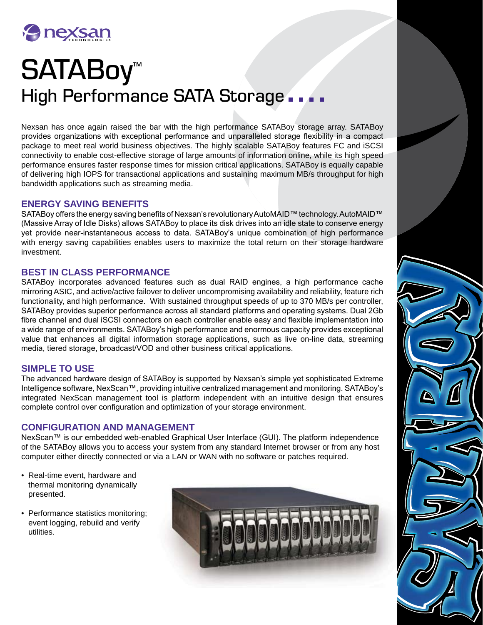

# SATABoy<sup>™</sup> High Performance SATA Storage...

Nexsan has once again raised the bar with the high performance SATABoy storage array. SATABoy provides organizations with exceptional performance and unparalleled storage flexibility in a compact package to meet real world business objectives. The highly scalable SATABoy features FC and iSCSI connectivity to enable cost-effective storage of large amounts of information online, while its high speed performance ensures faster response times for mission critical applications. SATABoy is equally capable of delivering high IOPS for transactional applications and sustaining maximum MB/s throughput for high bandwidth applications such as streaming media.

## **ENERGY SAVING BENEFITS**

SATABoy offers the energy saving benefits of Nexsan's revolutionary AutoMAID™ technology. AutoMAID™ (Massive Array of Idle Disks) allows SATABoy to place its disk drives into an idle state to conserve energy yet provide near-instantaneous access to data. SATABoy's unique combination of high performance with energy saving capabilities enables users to maximize the total return on their storage hardware investment.

#### **BEST IN CLASS PERFORMANCE**

SATABoy incorporates advanced features such as dual RAID engines, a high performance cache mirroring ASIC, and active/active failover to deliver uncompromising availability and reliability, feature rich functionality, and high performance. With sustained throughput speeds of up to 370 MB/s per controller, SATABoy provides superior performance across all standard platforms and operating systems. Dual 2Gb fibre channel and dual iSCSI connectors on each controller enable easy and flexible implementation into a wide range of environments. SATABoy's high performance and enormous capacity provides exceptional value that enhances all digital information storage applications, such as live on-line data, streaming media, tiered storage, broadcast/VOD and other business critical applications.

# **SIMPLE TO USE**

The advanced hardware design of SATABoy is supported by Nexsan's simple yet sophisticated Extreme Intelligence software, NexScan™, providing intuitive centralized management and monitoring. SATABoy's integrated NexScan management tool is platform independent with an intuitive design that ensures complete control over configuration and optimization of your storage environment.

#### **CONFIGURATION AND MANAGEMENT**

NexScan™ is our embedded web-enabled Graphical User Interface (GUI). The platform independence of the SATABoy allows you to access your system from any standard Internet browser or from any host computer either directly connected or via a LAN or WAN with no software or patches required.

- Real-time event, hardware and thermal monitoring dynamically presented.
- Performance statistics monitoring; event logging, rebuild and verify utilities.